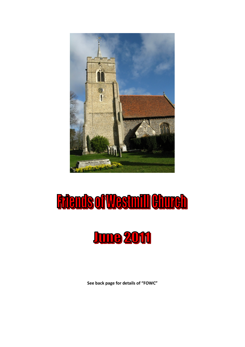

# **Riends of Westmill Church**



See back page for details of "FOWC"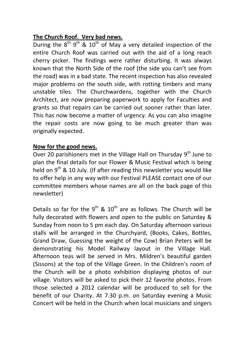### The Church Roof. Very bad news.

During the  $8^{th}$  9<sup>th</sup> & 10<sup>th</sup> of May a very detailed inspection of the entire Church Roof was carried out with the aid of a long reach cherry picker. The findings were rather disturbing. It was always known that the North Side of the roof (the side you can't see from the road) was in a bad state. The recent inspection has also revealed major problems on the south side, with rotting timbers and many unstable tiles. The Churchwardens, together with the Church Architect, are now preparing paperwork to apply for Faculties and grants so that repairs can be carried out sooner rather than later. This has now become a matter of urgency. As you can also imagine the repair costs are now going to be much greater than was originally expected.

### Now for the good news.

Over 20 parishioners met in the Village Hall on Thursday  $9<sup>th</sup>$  June to plan the final details for our Flower & Music Festival which is being held on 9<sup>th</sup> & 10 July. (If after reading this newsletter you would like to offer help in any way with our Festival PLEASE contact one of our committee members whose names are all on the back page of this newsletter)

Details so far for the  $9^{th}$  &  $10^{th}$  are as follows. The Church will be fully decorated with flowers and open to the public on Saturday & Sunday from noon to 5 pm each day. On Saturday afternoon various stalls will be arranged in the Churchyard, (Books, Cakes, Bottles, Grand Draw, Guessing the weight of the Cow) Brian Peters will be demonstrating his Model Railway layout in the Village Hall. Afternoon teas will be served in Mrs. Mildren's beautiful garden (Sissons) at the top of the Village Green. In the Children's room of the Church will be a photo exhibition displaying photos of our village. Visitors will be asked to pick their 12 favorite photos. From those selected a 2012 calendar will be produced to sell for the benefit of our Charity. At 7.30 p.m. on Saturday evening a Music Concert will be held in the Church when local musicians and singers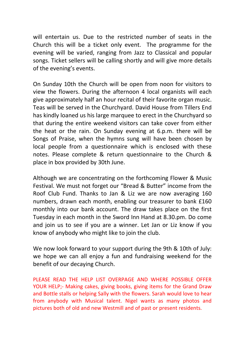will entertain us. Due to the restricted number of seats in the Church this will be a ticket only event. The programme for the evening will be varied, ranging from Jazz to Classical and popular songs. Ticket sellers will be calling shortly and will give more details of the evening's events.

On Sunday 10th the Church will be open from noon for visitors to view the flowers. During the afternoon 4 local organists will each give approximately half an hour recital of their favorite organ music. Teas will be served in the Churchyard. David House from Tillers End has kindly loaned us his large marquee to erect in the Churchyard so that during the entire weekend visitors can take cover from either the heat or the rain. On Sunday evening at 6.p.m. there will be Songs of Praise, when the hymns sung will have been chosen by local people from a questionnaire which is enclosed with these notes. Please complete & return questionnaire to the Church & place in box provided by 30th June.

Although we are concentrating on the forthcoming Flower & Music Festival. We must not forget our "Bread & Butter" income from the Roof Club Fund. Thanks to Jan & Liz we are now averaging 160 numbers, drawn each month, enabling our treasurer to bank £160 monthly into our bank account. The draw takes place on the first Tuesday in each month in the Sword Inn Hand at 8.30.pm. Do come and join us to see if you are a winner. Let Jan or Liz know if you know of anybody who might like to join the club.

We now look forward to your support during the 9th & 10th of July: we hope we can all enjoy a fun and fundraising weekend for the benefit of our decaying Church.

PLEASE READ THE HELP LIST OVERPAGE AND WHERE POSSIBLE OFFER YOUR HELP;- Making cakes, giving books, giving items for the Grand Draw and Bottle stalls or helping Sally with the flowers. Sarah would love to hear from anybody with Musical talent. Nigel wants as many photos and pictures both of old and new Westmill and of past or present residents.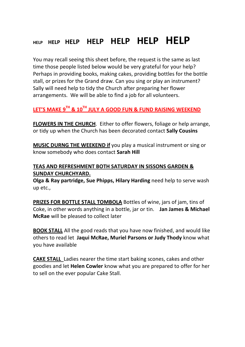## HELP HELP HELP HELP HELP HELP HEIP

You may recall seeing this sheet before, the request is the same as last time those people listed below would be very grateful for your help? Perhaps in providing books, making cakes, providing bottles for the bottle stall, or prizes for the Grand draw. Can you sing or play an instrument? Sally will need help to tidy the Church after preparing her flower arrangements. We will be able to find a job for all volunteers.

### LET'S MAKE 9<sup>TH</sup> & 10<sup>TH</sup> JULY A GOOD FUN & FUND RAISING WEEKEND

FLOWERS IN THE CHURCH. Either to offer flowers, foliage or help arrange, or tidy up when the Church has been decorated contact Sally Cousins

MUSIC DURNG THE WEEKEND if you play a musical instrument or sing or know somebody who does contact Sarah Hill

### TEAS AND REFRESHMENT BOTH SATURDAY IN SISSONS GARDEN & SUNDAY CHURCHYARD.

Olga & Ray partridge, Sue Phipps, Hilary Harding need help to serve wash up etc.,

PRIZES FOR BOTTLE STALL TOMBOLA Bottles of wine, jars of jam, tins of Coke, in other words anything in a bottle, jar or tin. Jan James & Michael McRae will be pleased to collect later

BOOK STALL All the good reads that you have now finished, and would like others to read let Jaqui McRae, Muriel Parsons or Judy Thody know what you have available

CAKE STALL Ladies nearer the time start baking scones, cakes and other goodies and let Helen Cowler know what you are prepared to offer for her to sell on the ever popular Cake Stall.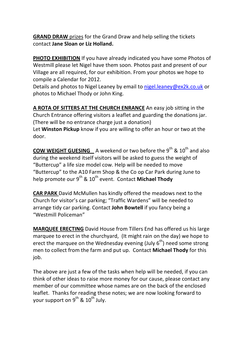GRAND DRAW prizes for the Grand Draw and help selling the tickets contact Jane Sloan or Liz Holland.

PHOTO EXHIBITION If you have already indicated you have some Photos of Westmill please let Nigel have them soon. Photos past and present of our Village are all required, for our exhibition. From your photos we hope to compile a Calendar for 2012.

Details and photos to Nigel Leaney by email to nigel.leaney@ex2k.co.uk or photos to Michael Thody or John King.

A ROTA OF SITTERS AT THE CHURCH ENRANCE An easy job sitting in the Church Entrance offering visitors a leaflet and guarding the donations jar. (There will be no entrance charge just a donation) Let Winston Pickup know if you are willing to offer an hour or two at the door.

**COW WEIGHT GUESING** A weekend or two before the  $9<sup>th</sup>$  &  $10<sup>th</sup>$  and also during the weekend itself visitors will be asked to guess the weight of "Buttercup" a life size model cow. Help will be needed to move "Buttercup" to the A10 Farm Shop & the Co op Car Park during June to help promote our  $9^{th}$  &  $10^{th}$  event. Contact Michael Thody

CAR PARK David McMullen has kindly offered the meadows next to the Church for visitor's car parking; "Traffic Wardens" will be needed to arrange tidy car parking. Contact John Bowtell if you fancy being a "Westmill Policeman"

MARQUEE ERECTING David House from Tillers End has offered us his large marquee to erect in the churchyard, (It might rain on the day) we hope to erect the marquee on the Wednesday evening (July  $6<sup>th</sup>$ ) need some strong men to collect from the farm and put up. Contact Michael Thody for this job.

The above are just a few of the tasks when help will be needed, if you can think of other ideas to raise more money for our cause, please contact any member of our committee whose names are on the back of the enclosed leaflet. Thanks for reading these notes; we are now looking forward to your support on  $9^{th}$  &  $10^{th}$  July.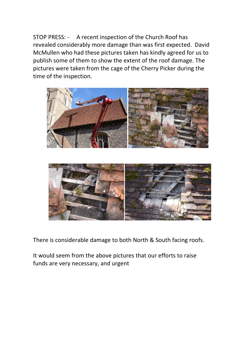STOP PRESS: - A recent inspection of the Church Roof has revealed considerably more damage than was first expected. David McMullen who had these pictures taken has kindly agreed for us to publish some of them to show the extent of the roof damage. The pictures were taken from the cage of the Cherry Picker during the time of the inspection.





There is considerable damage to both North & South facing roofs.

It would seem from the above pictures that our efforts to raise funds are very necessary, and urgent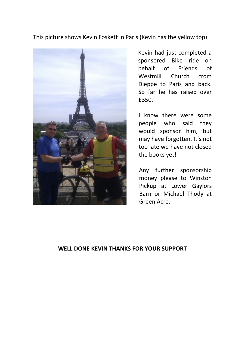This picture shows Kevin Foskett in Paris (Kevin has the yellow top)



Kevin had just completed a sponsored Bike ride on behalf of Friends of Westmill Church from Dieppe to Paris and back. So far he has raised over £350.

I know there were some people who said they would sponsor him, but may have forgotten. It's not too late we have not closed the books yet!

Any further sponsorship money please to Winston Pickup at Lower Gaylors Barn or Michael Thody at Green Acre.

### WELL DONE KEVIN THANKS FOR YOUR SUPPORT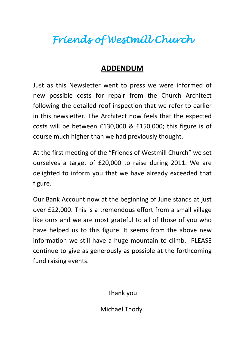# Friends of Westmill Church

### ADDENDUM

Just as this Newsletter went to press we were informed of new possible costs for repair from the Church Architect following the detailed roof inspection that we refer to earlier in this newsletter. The Architect now feels that the expected costs will be between £130,000 & £150,000; this figure is of course much higher than we had previously thought.

At the first meeting of the "Friends of Westmill Church" we set ourselves a target of £20,000 to raise during 2011. We are delighted to inform you that we have already exceeded that figure.

Our Bank Account now at the beginning of June stands at just over £22,000. This is a tremendous effort from a small village like ours and we are most grateful to all of those of you who have helped us to this figure. It seems from the above new information we still have a huge mountain to climb. PLEASE continue to give as generously as possible at the forthcoming fund raising events.

Thank you

Michael Thody.